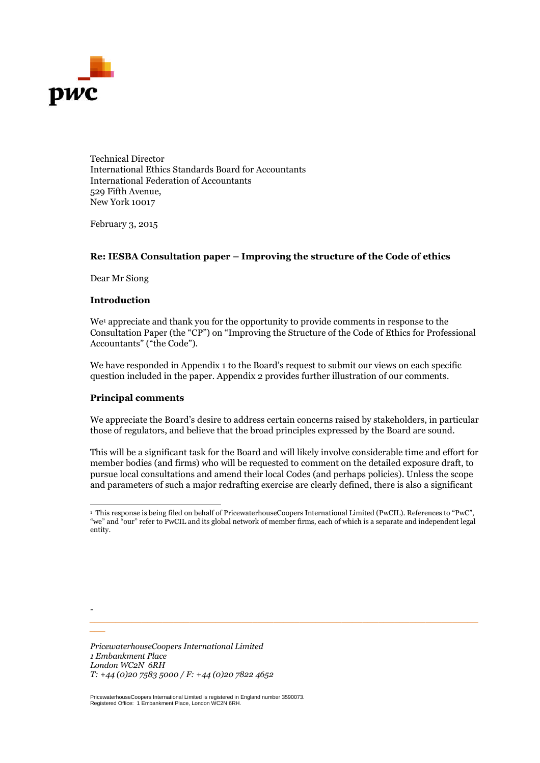

Technical Director International Ethics Standards Board for Accountants International Federation of Accountants 529 Fifth Avenue, New York 10017

February 3, 2015

# **Re: IESBA Consultation paper – Improving the structure of the Code of ethics**

Dear Mr Siong

#### **Introduction**

We<sup>[1](#page-0-0)</sup> appreciate and thank you for the opportunity to provide comments in response to the Consultation Paper (the "CP") on "Improving the Structure of the Code of Ethics for Professional Accountants" ("the Code").

We have responded in Appendix 1 to the Board's request to submit our views on each specific question included in the paper. Appendix 2 provides further illustration of our comments.

# **Principal comments**

*-*

*\_\_\_*

We appreciate the Board's desire to address certain concerns raised by stakeholders, in particular those of regulators, and believe that the broad principles expressed by the Board are sound.

This will be a significant task for the Board and will likely involve considerable time and effort for member bodies (and firms) who will be requested to comment on the detailed exposure draft, to pursue local consultations and amend their local Codes (and perhaps policies). Unless the scope and parameters of such a major redrafting exercise are clearly defined, there is also a significant

*\_\_\_\_\_\_\_\_\_\_\_\_\_\_\_\_\_\_\_\_\_\_\_\_\_\_\_\_\_\_\_\_\_\_\_\_\_\_\_\_\_\_\_\_\_\_\_\_\_\_\_\_\_\_\_\_\_\_\_\_\_\_\_\_\_\_\_\_\_\_\_\_\_\_*

*PricewaterhouseCoopers International Limited 1 Embankment Place London WC2N 6RH T: +44 (0)20 7583 5000 / F: +44 (0)20 7822 4652*

PricewaterhouseCoopers International Limited is registered in England number 3590073. Registered Office: 1 Embankment Place, London WC2N 6RH.

<span id="page-0-0"></span><sup>&</sup>lt;sup>1</sup> This response is being filed on behalf of PricewaterhouseCoopers International Limited (PwCIL). References to "PwC", "we" and "our" refer to PwCIL and its global network of member firms, each of which is a separate and independent legal entity.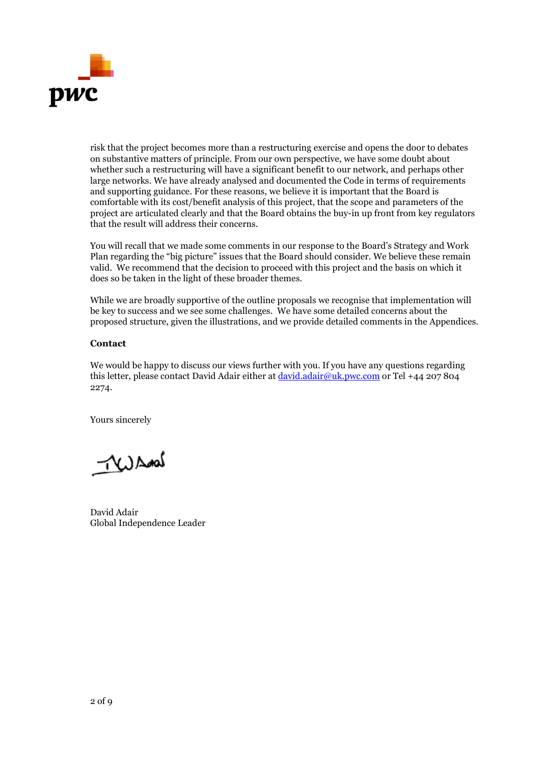

risk that the project becomes more than a restructuring exercise and opens the door to debates on substantive matters of principle. From our own perspective, we have some doubt about whether such a restructuring will have a significant benefit to our network, and perhaps other large networks. We have already analysed and documented the Code in terms of requirements and supporting guidance. For these reasons, we believe it is important that the Board is comfortable with its cost/benefit analysis of this project, that the scope and parameters of the project are articulated clearly and that the Board obtains the buy-in up front from key regulators that the result will address their concerns.

You will recall that we made some comments in our response to the Board's Strategy and Work Plan regarding the "big picture" issues that the Board should consider. We believe these remain valid. We recommend that the decision to proceed with this project and the basis on which it does so be taken in the light of these broader themes.

While we are broadly supportive of the outline proposals we recognise that implementation will be key to success and we see some challenges. We have some detailed concerns about the proposed structure, given the illustrations, and we provide detailed comments in the Appendices.

# **Contact**

We would be happy to discuss our views further with you. If you have any questions regarding this letter, please contact David Adair either at [david.adair@uk.pwc.com](mailto:david.adair@uk.pwc.com) or Tel +44 207 804 2274.

Yours sincerely

 $\neg \mathcal{L}$ 

David Adair Global Independence Leader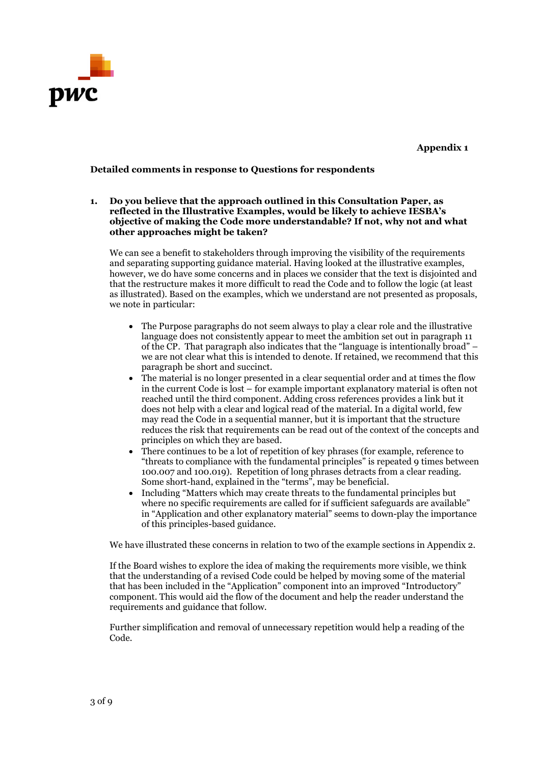

**Appendix 1**

### **Detailed comments in response to Questions for respondents**

**1. Do you believe that the approach outlined in this Consultation Paper, as reflected in the Illustrative Examples, would be likely to achieve IESBA's objective of making the Code more understandable? If not, why not and what other approaches might be taken?**

We can see a benefit to stakeholders through improving the visibility of the requirements and separating supporting guidance material. Having looked at the illustrative examples, however, we do have some concerns and in places we consider that the text is disjointed and that the restructure makes it more difficult to read the Code and to follow the logic (at least as illustrated). Based on the examples, which we understand are not presented as proposals, we note in particular:

- The Purpose paragraphs do not seem always to play a clear role and the illustrative language does not consistently appear to meet the ambition set out in paragraph 11 of the CP. That paragraph also indicates that the "language is intentionally broad" – we are not clear what this is intended to denote. If retained, we recommend that this paragraph be short and succinct.
- The material is no longer presented in a clear sequential order and at times the flow in the current Code is lost – for example important explanatory material is often not reached until the third component. Adding cross references provides a link but it does not help with a clear and logical read of the material. In a digital world, few may read the Code in a sequential manner, but it is important that the structure reduces the risk that requirements can be read out of the context of the concepts and principles on which they are based.
- There continues to be a lot of repetition of key phrases (for example, reference to "threats to compliance with the fundamental principles" is repeated 9 times between 100.007 and 100.019). Repetition of long phrases detracts from a clear reading. Some short-hand, explained in the "terms", may be beneficial.
- Including "Matters which may create threats to the fundamental principles but where no specific requirements are called for if sufficient safeguards are available" in "Application and other explanatory material" seems to down-play the importance of this principles-based guidance.

We have illustrated these concerns in relation to two of the example sections in Appendix 2.

If the Board wishes to explore the idea of making the requirements more visible, we think that the understanding of a revised Code could be helped by moving some of the material that has been included in the "Application" component into an improved "Introductory" component. This would aid the flow of the document and help the reader understand the requirements and guidance that follow.

Further simplification and removal of unnecessary repetition would help a reading of the Code.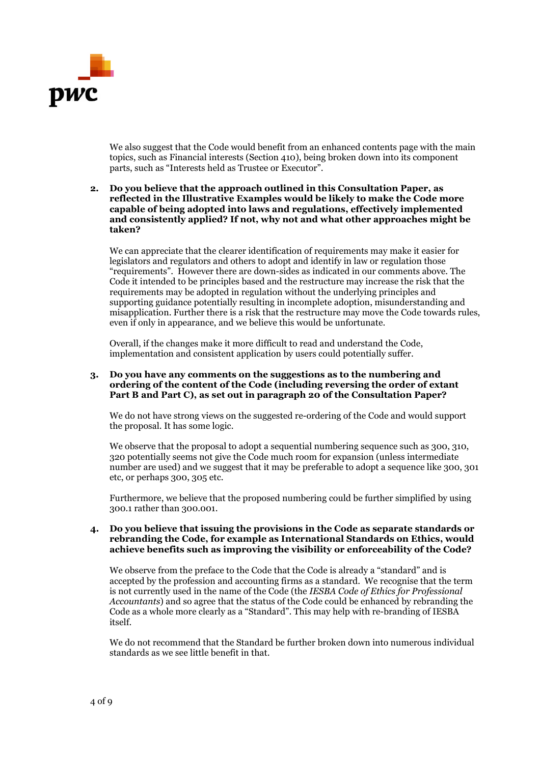

We also suggest that the Code would benefit from an enhanced contents page with the main topics, such as Financial interests (Section 410), being broken down into its component parts, such as "Interests held as Trustee or Executor".

### **2. Do you believe that the approach outlined in this Consultation Paper, as reflected in the Illustrative Examples would be likely to make the Code more capable of being adopted into laws and regulations, effectively implemented and consistently applied? If not, why not and what other approaches might be taken?**

We can appreciate that the clearer identification of requirements may make it easier for legislators and regulators and others to adopt and identify in law or regulation those "requirements". However there are down-sides as indicated in our comments above. The Code it intended to be principles based and the restructure may increase the risk that the requirements may be adopted in regulation without the underlying principles and supporting guidance potentially resulting in incomplete adoption, misunderstanding and misapplication. Further there is a risk that the restructure may move the Code towards rules, even if only in appearance, and we believe this would be unfortunate.

Overall, if the changes make it more difficult to read and understand the Code, implementation and consistent application by users could potentially suffer.

### **3. Do you have any comments on the suggestions as to the numbering and ordering of the content of the Code (including reversing the order of extant Part B and Part C), as set out in paragraph 20 of the Consultation Paper?**

We do not have strong views on the suggested re-ordering of the Code and would support the proposal. It has some logic.

We observe that the proposal to adopt a sequential numbering sequence such as 300, 310, 320 potentially seems not give the Code much room for expansion (unless intermediate number are used) and we suggest that it may be preferable to adopt a sequence like 300, 301 etc, or perhaps 300, 305 etc.

Furthermore, we believe that the proposed numbering could be further simplified by using 300.1 rather than 300.001.

#### **4. Do you believe that issuing the provisions in the Code as separate standards or rebranding the Code, for example as International Standards on Ethics, would achieve benefits such as improving the visibility or enforceability of the Code?**

We observe from the preface to the Code that the Code is already a "standard" and is accepted by the profession and accounting firms as a standard. We recognise that the term is not currently used in the name of the Code (the *IESBA Code of Ethics for Professional Accountants*) and so agree that the status of the Code could be enhanced by rebranding the Code as a whole more clearly as a "Standard". This may help with re-branding of IESBA itself.

We do not recommend that the Standard be further broken down into numerous individual standards as we see little benefit in that.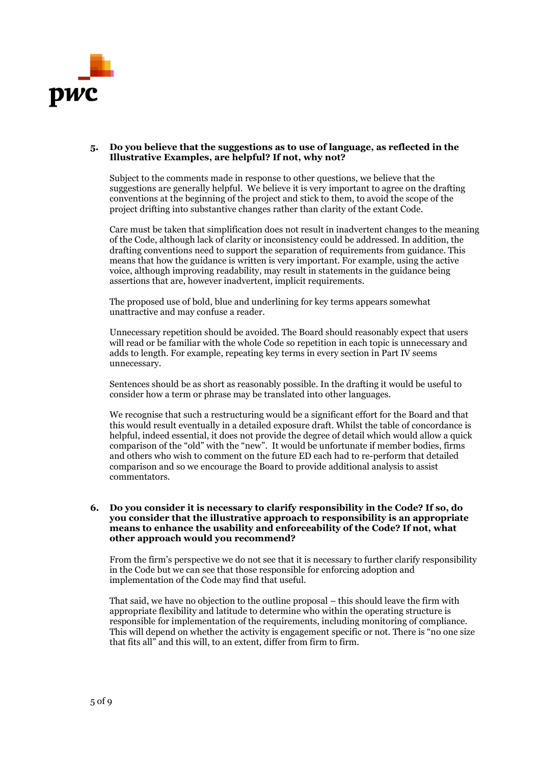

## **5. Do you believe that the suggestions as to use of language, as reflected in the Illustrative Examples, are helpful? If not, why not?**

Subject to the comments made in response to other questions, we believe that the suggestions are generally helpful. We believe it is very important to agree on the drafting conventions at the beginning of the project and stick to them, to avoid the scope of the project drifting into substantive changes rather than clarity of the extant Code.

Care must be taken that simplification does not result in inadvertent changes to the meaning of the Code, although lack of clarity or inconsistency could be addressed. In addition, the drafting conventions need to support the separation of requirements from guidance. This means that how the guidance is written is very important. For example, using the active voice, although improving readability, may result in statements in the guidance being assertions that are, however inadvertent, implicit requirements.

The proposed use of bold, blue and underlining for key terms appears somewhat unattractive and may confuse a reader.

Unnecessary repetition should be avoided. The Board should reasonably expect that users will read or be familiar with the whole Code so repetition in each topic is unnecessary and adds to length. For example, repeating key terms in every section in Part IV seems unnecessary.

Sentences should be as short as reasonably possible. In the drafting it would be useful to consider how a term or phrase may be translated into other languages.

We recognise that such a restructuring would be a significant effort for the Board and that this would result eventually in a detailed exposure draft. Whilst the table of concordance is helpful, indeed essential, it does not provide the degree of detail which would allow a quick comparison of the "old" with the "new". It would be unfortunate if member bodies, firms and others who wish to comment on the future ED each had to re-perform that detailed comparison and so we encourage the Board to provide additional analysis to assist commentators.

#### **6. Do you consider it is necessary to clarify responsibility in the Code? If so, do you consider that the illustrative approach to responsibility is an appropriate means to enhance the usability and enforceability of the Code? If not, what other approach would you recommend?**

From the firm's perspective we do not see that it is necessary to further clarify responsibility in the Code but we can see that those responsible for enforcing adoption and implementation of the Code may find that useful.

That said, we have no objection to the outline proposal – this should leave the firm with appropriate flexibility and latitude to determine who within the operating structure is responsible for implementation of the requirements, including monitoring of compliance. This will depend on whether the activity is engagement specific or not. There is "no one size that fits all" and this will, to an extent, differ from firm to firm.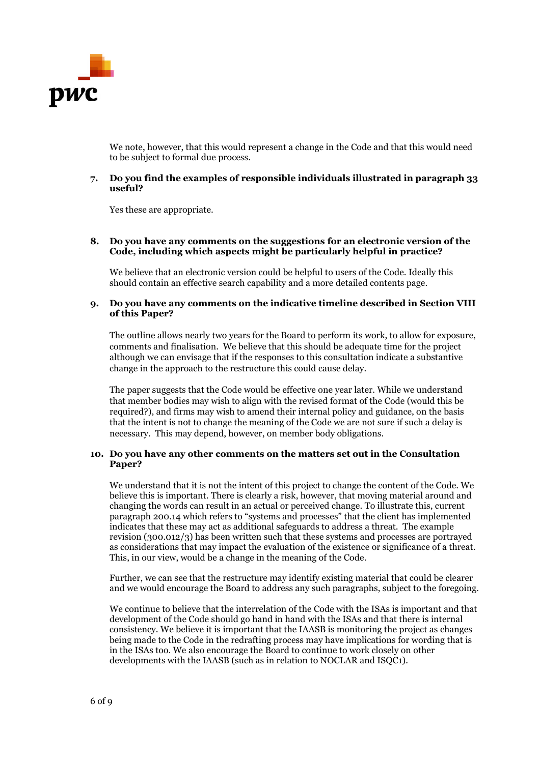

We note, however, that this would represent a change in the Code and that this would need to be subject to formal due process.

## **7. Do you find the examples of responsible individuals illustrated in paragraph 33 useful?**

Yes these are appropriate.

## **8. Do you have any comments on the suggestions for an electronic version of the Code, including which aspects might be particularly helpful in practice?**

We believe that an electronic version could be helpful to users of the Code. Ideally this should contain an effective search capability and a more detailed contents page.

### **9. Do you have any comments on the indicative timeline described in Section VIII of this Paper?**

The outline allows nearly two years for the Board to perform its work, to allow for exposure, comments and finalisation. We believe that this should be adequate time for the project although we can envisage that if the responses to this consultation indicate a substantive change in the approach to the restructure this could cause delay.

The paper suggests that the Code would be effective one year later. While we understand that member bodies may wish to align with the revised format of the Code (would this be required?), and firms may wish to amend their internal policy and guidance, on the basis that the intent is not to change the meaning of the Code we are not sure if such a delay is necessary. This may depend, however, on member body obligations.

#### **10. Do you have any other comments on the matters set out in the Consultation Paper?**

We understand that it is not the intent of this project to change the content of the Code. We believe this is important. There is clearly a risk, however, that moving material around and changing the words can result in an actual or perceived change. To illustrate this, current paragraph 200.14 which refers to "systems and processes" that the client has implemented indicates that these may act as additional safeguards to address a threat. The example revision (300.012/3) has been written such that these systems and processes are portrayed as considerations that may impact the evaluation of the existence or significance of a threat. This, in our view, would be a change in the meaning of the Code.

Further, we can see that the restructure may identify existing material that could be clearer and we would encourage the Board to address any such paragraphs, subject to the foregoing.

We continue to believe that the interrelation of the Code with the ISAs is important and that development of the Code should go hand in hand with the ISAs and that there is internal consistency. We believe it is important that the IAASB is monitoring the project as changes being made to the Code in the redrafting process may have implications for wording that is in the ISAs too. We also encourage the Board to continue to work closely on other developments with the IAASB (such as in relation to NOCLAR and ISQC1).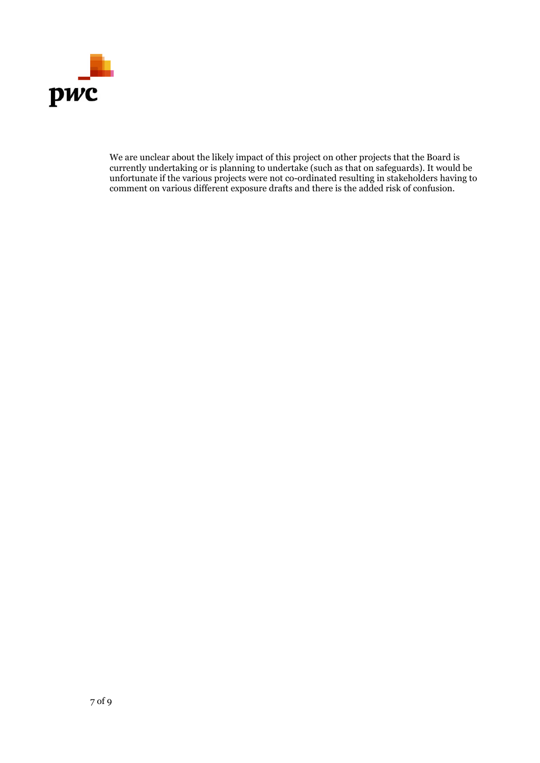

We are unclear about the likely impact of this project on other projects that the Board is currently undertaking or is planning to undertake (such as that on safeguards). It would be unfortunate if the various projects were not co-ordinated resulting in stakeholders having to comment on various different exposure drafts and there is the added risk of confusion.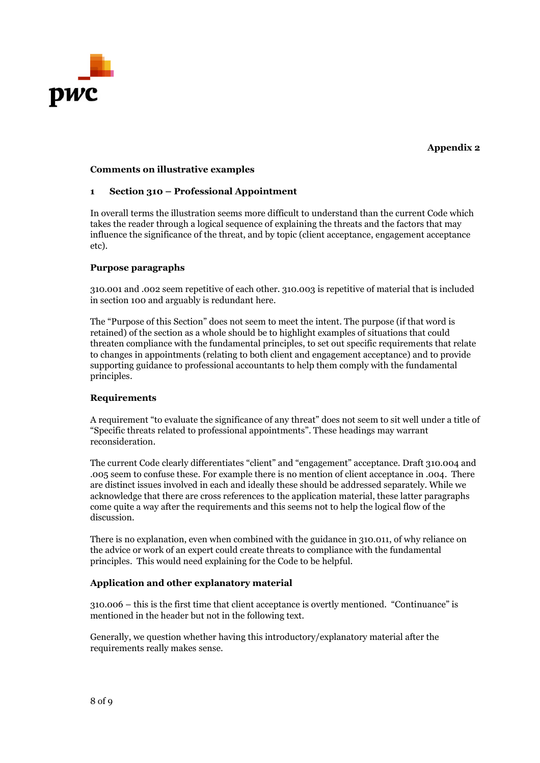

# **Appendix 2**

## **Comments on illustrative examples**

## **1 Section 310 – Professional Appointment**

In overall terms the illustration seems more difficult to understand than the current Code which takes the reader through a logical sequence of explaining the threats and the factors that may influence the significance of the threat, and by topic (client acceptance, engagement acceptance etc).

## **Purpose paragraphs**

310.001 and .002 seem repetitive of each other. 310.003 is repetitive of material that is included in section 100 and arguably is redundant here.

The "Purpose of this Section" does not seem to meet the intent. The purpose (if that word is retained) of the section as a whole should be to highlight examples of situations that could threaten compliance with the fundamental principles, to set out specific requirements that relate to changes in appointments (relating to both client and engagement acceptance) and to provide supporting guidance to professional accountants to help them comply with the fundamental principles.

#### **Requirements**

A requirement "to evaluate the significance of any threat" does not seem to sit well under a title of "Specific threats related to professional appointments". These headings may warrant reconsideration.

The current Code clearly differentiates "client" and "engagement" acceptance. Draft 310.004 and .005 seem to confuse these. For example there is no mention of client acceptance in .004. There are distinct issues involved in each and ideally these should be addressed separately. While we acknowledge that there are cross references to the application material, these latter paragraphs come quite a way after the requirements and this seems not to help the logical flow of the discussion.

There is no explanation, even when combined with the guidance in 310.011, of why reliance on the advice or work of an expert could create threats to compliance with the fundamental principles. This would need explaining for the Code to be helpful.

# **Application and other explanatory material**

310.006 – this is the first time that client acceptance is overtly mentioned. "Continuance" is mentioned in the header but not in the following text.

Generally, we question whether having this introductory/explanatory material after the requirements really makes sense.